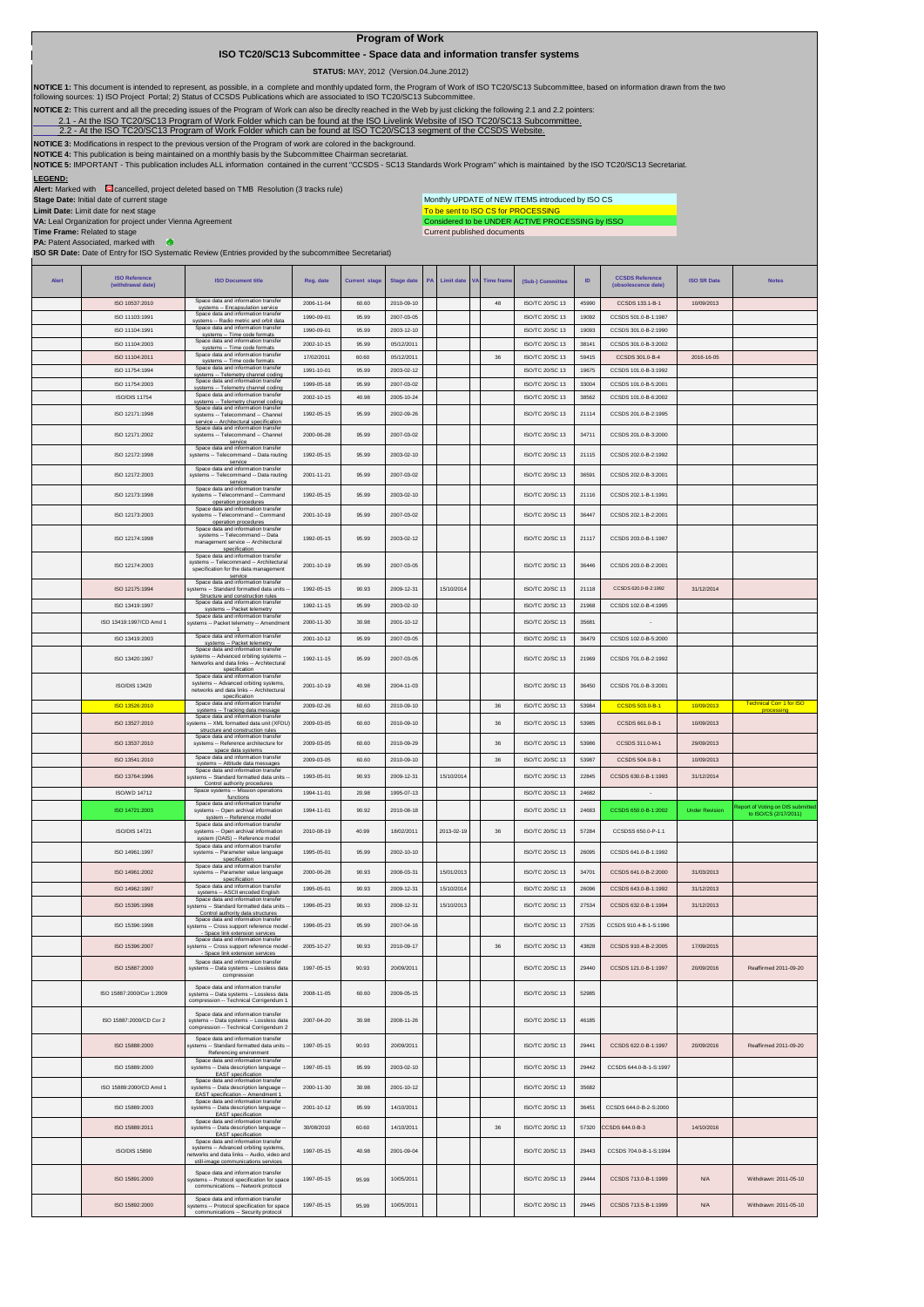## **Program of Work**

 **ISO TC20/SC13 Subcommittee - Space data and information transfer systems**

 **STATUS:** MAY, 2012 (Version.04.June.2012)

To be sent to ISO CS for PROCESSING<br>Considered to be UNDER ACTIVE PROCESSING by ISSO Monthly UPDATE of NEW ITEMS introduced by ISO CS

NOTICE 1: This document is intended to represent, as possible, in a complete and monthly updated form, the Program of Work of ISO TC20/SC13 Subcommittee, based on information drawn from the two<br>following sources: 1) ISO Pr

**NOTICE 2:** This current and all the preceding issues of the Program of Work can also be direclty reached in the Web by just clicking the following 2.1 and 2.2 pointers:

-At the ISO TC20/SC13 Program of Work Folder which can be found at the ISO Livelink Website of ISO TC20/SC13 Subcommittee.

[2.2 - A](http://cwe.ccsds.org/cmc/docs/Forms/AllItems.aspx?RootFolder=%2fcmc%2fdocs%2fISO%20TC20%2dSC13%2fISO%20TC20%2dSC13%20Meeting%20Minutes%20and%20Presentations&FolderCTID=&View=%7bD5DD30F7%2d53FC%2d45B9%2d8B93%2d709B280A475B%7d)t the ISO TC20/SC13 Program of Work Folder which can be found at ISO TC20/SC13 segment of the CCSDS Website.

**NOTICE 3:** Modifications in respect to the previous version of the Program of work are colored in the background. **NOTICE 4:** This publication is being maintained on a monthly basis by the Subcommittee Chairman secret

**LEGEND: NOTICE 5:** IMPORTANT - This publication includes ALL information contained in the current "CCSDS - SC13 Standards Work Program" which is maintained by the ISO TC20/SC13 Secretariat.

**Alert:** Marked with **cancelled, project deleted based on TMB Resolution (3 tracks rule)** 

**Stage Date:** Initial date of current stage

**Limit Date:** Limit date for next stage

**VA:** Leal Organization for project under Vienna Agreement

**Time Frame:** Related to stage

**PA:** Patent Associated, marked with

EAST specification

Space data and information transfer systems -- Advanced orbiting systems, networks and data links -- Audio, video and still-image communications services

Space data and information transfer systems -- Protocol specification for space communications -- Network protocol

Space data and information transfer systems -- Protocol specification for space communications -- Security protocol

ISO/DIS 15890

ISO 15891:2000

ISO 15892:2000

Current published documents - e **ISO SR Date:** Date of Entry for ISO Systematic Review (Entries provided by the subcommittee Secretariat) **ISO SR Date Note Alert ISO Reference (withdrawal date) ISO Document title Reg. date Current stage Stage date PA Limit date VA Time frame (Sub-) Committee ID CCSDS Reference (obsolescence date)**   $\overline{180}$  10537:2010 systems -- Encapsulation service 2006-11-04 60.60 2010-09-10 <sup>48</sup> ISO/TC 20/SC 13 <sup>45990</sup> CCSDS 133.1-B-1 10/09/2013 ISO 11103:1991 systems -- Radio metric and orbit data 1990-09-01 95.99 2007-03-05 ISO/TC 20/SC 13 <sup>19092</sup> CCSDS 501.0-B-1:1987 ISO 11104:1991 systems -- Time code formats 1990-09-01 95.99 2003-12-10 ISO/TC 20/SC 13 <sup>19093</sup> CCSDS 301.0-B-2:1990 ISO 11104:2003 Spa المادة 2002-10-15 95.99 05/12/2011 2002-10-15 05.99 05/12/2011 15:00 05/12/2011 15:00 05/12/2011 38 15/07/2012<br>17/02/2011 17:00:2011 15:00 05/12/2011 38 15/07/201501 38 16:00:301.0-B-4 ISO 11104:2011 systems -- Time code formats 17/02/2011 60.60 05/12/2011 <sup>36</sup> ISO/TC 20/SC 13 <sup>59415</sup> CCSDS 301.0-B-4 2016-16-05 systems and information transfer<br>ISO 11754:1994 Space data and information transfer systems -- Telemetry channel coding 1991-10-01 95.99 2003-02-12 ISO/TC 20/SC 13 <sup>19675</sup> CCSDS 101.0-B-3:1992 systems -- Telemetry channel coding 1999-05-18 95.99 2007-03-02 ISO/TC 20/SC 13 33004 CCSDS 101.0-B-5:20<br>systems -- Telemetry channel coding 1999-05-18 40.98 2005-10-24 ISO/TC 20/SC 13 38562 CCSDS 101.0-B-6:20<br>Space data a ISO 11754:2 ISO/DIS 11754 Space data and information transfer<br>ISO/DIS 11754 Space data and information transfer<br>Space data and information transfer ISO 12171:1998 1992-05-15 95.99 2002-09-26 ISO/TC 20/SC 13 21114 CCSDS 201.0-B-2:1995 systems -- Telecommand -- Channel service -- Architectural specification ISO 12171:2002 Space data and information transfer systems -- Telecommand -- Channel 2000-06-28 95.99 2007-03-02 ISO/TC 20/SC 13 34711 CCSDS 201.0-B-3:2000 service Space data and information transfer systems -- Telecommand -- Data routing ISO 12172:1998 1992-05-15 95.99 2003-02-10 ISO/TC 20/SC 13 21115 CCSDS 202.0-B-2:1992 service<br>
Space data and information transfer<br>
systems -- Telecommand -- Data routing<br>
service ISO 12172:2003 2001-11-21 95.99 2007-03-02 ISO/TC 20/SC 13 36591 CCSDS 202.0-B-3:2001 Space data and information transfer systems -- Telecommand -- Command 1992-05-15 95.99 2003-02-10 ISO/TC 20/SC 13 21116 CCSDS 202.1-B-1:1991 ISO 12173:1998 operation procedures Space data and information transfer systems -- Telecommand -- Command operation procedures Space data and information transfer ISO 12173:2003 2001-10-19 95.99 2007-03-02 ISO/TC 20/SC 13 36447 CCSDS 202.1-B-2:2001 ISO 12174:1998 1992-05-15 95.99 2003-02-12 ISO/TC 20/SC 13 21117 CCSDS 203.0-B-1:1987 systems -- Telecommand -- Data management service -- Architectural specification Space data and information transfer systems -- Telecommand -- Architectural specification for the data management ISO 12174:2003 2001-10-19 95.99 2007-03-05 ISO/TC 20/SC 13 36446 CCSDS 203.0-B-2:2001 service<br>Space data and information transfer ISO 12175:1994 1992-05-15 90.93 2009-12-31 15/10/2014 ISO/TC 20/SC 13 21118 CCSDS 620.0-B-2:1992 31/12/2014 systems -- Standard formatted data units -- Something of the Space data and information transfer<br>
Space data and information transfer<br>
Space data and information transfer<br>
Space data and information transfer<br>
Space data and information transfer<br>
Space data and infor ISO 13419:1997/CD Amd 1 2000-11-30 30.98 2001-10-12 ISO/TC 20/SC 13 35681 - ISO 13419:2003 Space data and i systems -- Packet telemetry 2001-10-12 95.99 2007-03-05 ISO/TC 20/SC 13 <sup>36479</sup> CCSDS 102.0-B-5:2000 Space data and information transfer<br>and information transfer 1992-11-15 95.99 2007-03-05 ISO/TC 20/SC 13 21969 CCSDS 701.0-B-2:1992 ISO 13420:1997 systems -- Advanced orbiting systems -- Networks and data links -- Architectural specification Space data and information transfer systems -- Advanced orbiting systems, networks and data links -- Architectural 2001-10-19 40.98 2004-11-03 ISO/TC 20/SC 13 36450 CCSDS 701.0-B-3:2001 ISO/DIS 13420 specification<br>ISO 13526:2010 Space data and information transfer Space data and information transfer<br>systems -- Tracking data message 2009-02-26 60.60 2010-09-10 36 ISO/TC 20/SC 13 53984 CCSDS 503.0-B-1 10/09/2013 Technical Corressing processing ISO 13527:2010 Space data and information transfer systems -- XML formatted data unit (XFDU) 2009-03-05 60.60 2010-09-10 36 ISO/TC 20/SC 13 53985 CCSDS 661.0-B-1 10/09/2013 structure and construction rules Space data and information transfer systems -- Reference architecture for ISO 13537:2010 2009-03-05 60.60 2010-09-29 36 ISO/TC 20/SC 13 53986 CCSDS 311.0-M-1 29/09/2013 space data systems ISO 13541:2010 systems -- Attitude data messages 2009-03-05 60.60 2010-09-10 <sup>36</sup> ISO/TC 20/SC 13 <sup>53987</sup> CCSDS 504.0-B-1 10/09/2013 Space data and information transfer systems -- Standard formatted data units -- 1993-05-01 90.93 2009-12-31 15/10/2014 ISO/TC 20/SC 13 22845 CCSDS 630.0-B-1:1993 31/12/2014 ISO 13764:1996 ntrol authority procedures ISO/WD 14712 Space systems -- Mission operations 1994-11-01 20.98 1995-07-13 ISO/TC 2015-07 13 24682<br>ISO 14721:2003 Space data and information transfer in the space of the space of the space of the space of the<br>SQ 14721:20 1994-11-01 90.92 2010-08-18 ISO/TC 20/SC 13 <sup>24683</sup> CCSDS 650.0-B-1:2002 Under Revision Report of Voting on DIS submitted ISO 14721:2003 to ISO/CS (2/17/2011) system -- Reference model Space data and information transfer systems -- Open archival information system (OAIS) -- Reference model ISO/DIS 14721 2010-08-19 40.99 18/02/2011 2013-02-19 36 ISO/TC 20/SC 13 57284 CCSDSS 650.0-P-1.1 ISO 14961:1997 Space data and information transfer systems -- Parameter value language 1995-05-01 95.99 2002-10-10 ISO/TC 20/SC 13 26095 CCSDS 641.0-B-1:1992 specification ISO 14961:2002 Space data and information transfer systems -- Parameter value language 2000-06-28 90.93 2008-03-31 15/01/2013 ISO/TC 20/SC 13 34701 CCSDS 641.0-B-2:2000 31/03/2013 specification ISO 14962:1997 systems -- ASCII encoded English 1995-05-01 90.93 2009-12-31 15/10/2014 ISO/TC 20/SC 13 <sup>26096</sup> CCSDS 643.0-B-1:1992 31/12/2013 ISO 15395:1998 Space data and information transfer systems -- Standard formatted data units -- 1996-05-23 90.93 2008-12-31 15/10/2013 ISO/TC 20/SC 13 27534 CCSDS 632.0-B-1:1994 31/12/2013 Control authority data structures Space data and information transfer ISO 15396:1998 1996-05-23 95.99 2007-04-16 ISO/TC 20/SC 13 27535 CCSDS 910.4-B-1-S:1996 systems -- Cross support reference model - Space link extension services ISO 15396:2007 Space data and information transfer 2005-10-27 90.93 2010-09-17 36 ISO/TC 20/SC 13 43828 CCSDS 910.4-B-2:2005 17/09/2015 systems -- Cross support reference model - - Space link extension services Space data and information transfer 1997-05-15 90.93 20/09/2011 ISO/TC 20/SC 13 29440 [CCSDS 121.0-B-1:1997](http://public.ccsds.org/publications/archive/121x0b1c2.pdf) 20/09/2016 Reaffirmed 2011-09-20 ISO 15887:2000 systems -- Data systems -- Lossless data compression ISO 15887:2000/Cor 1:2009 2008-11-05 60.60 2009-05-15 ISO/TC 20/SC 13 52985 Space data and information transfer systems -- Data systems -- Lossless data compression -- Technical Corrigendum 1 Space data and information transfer systems -- Data systems -- Lossless data compression -- Technical Corrigendum 2 2007-04-20 30.98 2008-11-26 ISO/TC 20/SC 13 46185 ISO 15887:2000/CD Cor 2 ISO 15888:2000 Space data and information transfer systems -- Standard formatted data units -- 1997-05-15 90.93 20/09/2011 ISO/TC 20/SC 13 29441 [CCSDS 622.0-B-1:1997](http://public.ccsds.org/publications/archive/622x0b1.pdf) 20/09/2016 Reaffirmed 2011-09-20 Referencing environment<br>
Space data and information transfer<br>
systems -- Data description language<br>
EAST specification ISO 15889:2000 1997-05-15 95.99 2003-02-10 ISO/TC 20/SC 13 29442 [CCSDS 644.0-B-1-S:1997](http://public.ccsds.org/publications/archive/644x0b1s.pdf) Space data and information transfer systems -- Data description language -- ISO 15889:2000/CD Amd 1 2000-11-30 30.98 2001-10-12 ISO/TC 20/SC 13 35682 EAST specification -- Amendment Space data and information transfer systems -- Data description language -- EAST specification ISO 15889:2003 2001-10-12 95.99 14/10/2011 ISO/TC 20/SC 13 36451 [CCSDS 644.0-B-2-S:2000](http://public.ccsds.org/publications/archive/644x0b2s.pdf)  ISO 15889:2011 Space data and information transfer systems -- Data description language --

30/08/2010 60.60 14/10/2011 36 ISO/TC 20/SC 13 57320 CCSDS 644.0-B-3 14/10/2016

1997-05-15 95.99 10/05/2011 ISO/TC 20/SC 13 29444 [CCSDS 713.0-B-1:1999](http://public.ccsds.org/publications/archive/713x0b1s.pdf) N/A Withdrawn: 2011-05-10

1997-05-15 95.99 10/05/2011 ISO/TC 20/SC 13 29445 [CCSDS 713.5-B-1:1999](http://public.ccsds.org/publications/archive/713x5b1sc1.pdf) N/A Withdrawn: 2011-05-10

1997-05-15 40.98 2001-09-04 ISO/TC 20/SC 13 29443 [CCSDS 704.0-B-1-S:1994](http://public.ccsds.org/publications/archive/704x0b1s.pdf)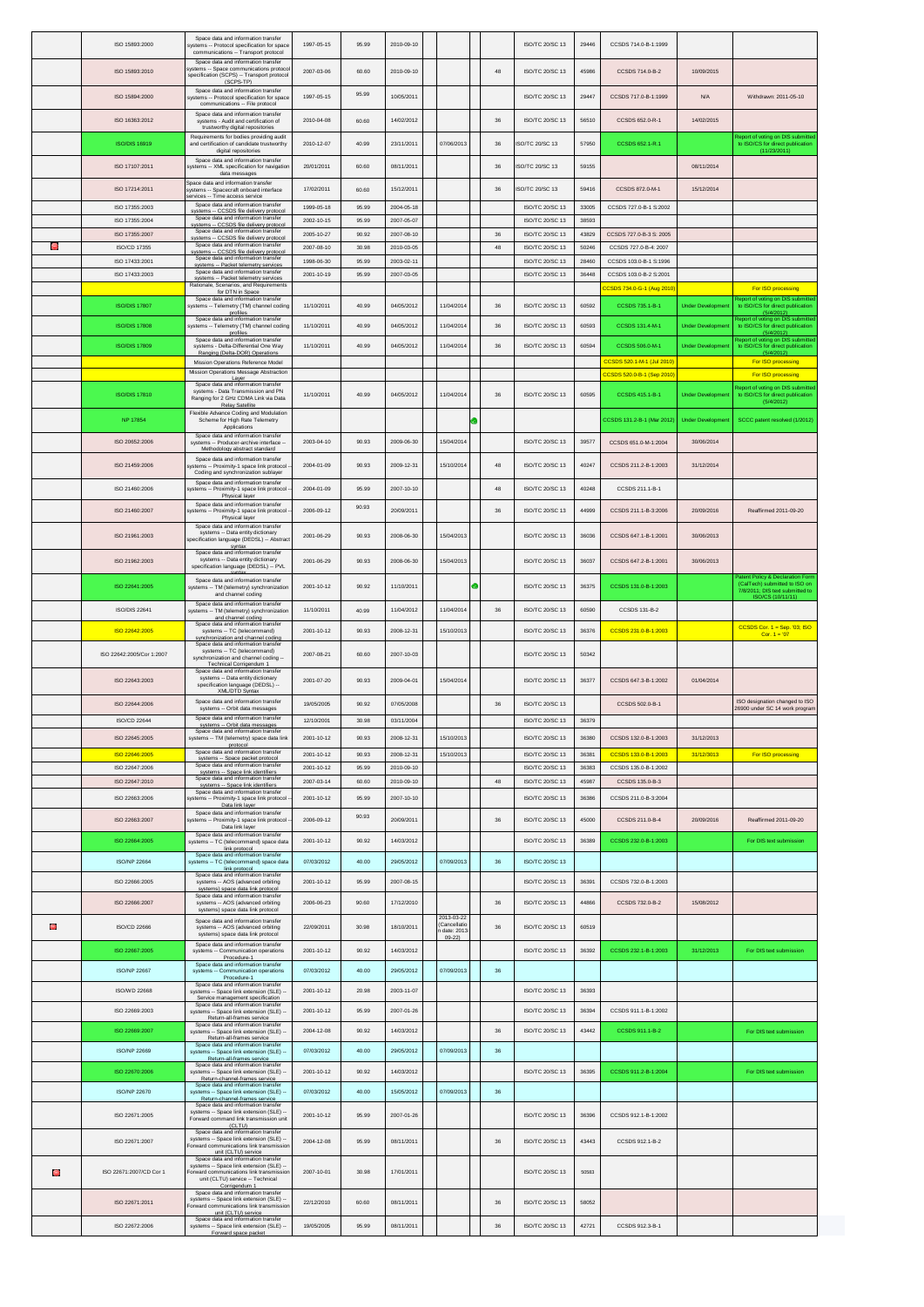|    | ISO 15893:2000                   | Space data and information transfer<br>systems -- Protocol specification for space<br>communications -- Transport protocol                       | 1997-05-15               | 95.99          | 2010-09-10               |                                      |   |        | ISO/TC 20/SC 13                    | 29446          | CCSDS 714.0-B-1:1999                                 |                          |                                                                                    |
|----|----------------------------------|--------------------------------------------------------------------------------------------------------------------------------------------------|--------------------------|----------------|--------------------------|--------------------------------------|---|--------|------------------------------------|----------------|------------------------------------------------------|--------------------------|------------------------------------------------------------------------------------|
|    | ISO 15893:2010                   | Space data and information transfer<br>systems -- Space communications protoco<br>specification (SCPS) -- Transport protocol                     | 2007-03-06               | 60.60          | 2010-09-10               |                                      |   | 48     | ISO/TC 20/SC 13                    | 45986          | CCSDS 714.0-B-2                                      | 10/09/2015               |                                                                                    |
|    | ISO 15894:2000                   | (SCPS-TP)<br>Space data and information transfer<br>systems -- Protocol specification for space                                                  | 1997-05-15               | 95.99          | 10/05/2011               |                                      |   |        | ISO/TC 20/SC 13                    | 29447          | CCSDS 717.0-B-1:1999                                 | N/A                      | Withdrawn: 2011-05-10                                                              |
|    | ISO 16363:2012                   | communications -- File protocol<br>Space data and information transfer<br>systems - Audit and certification of                                   | 2010-04-08               | 60.60          | 14/02/2012               |                                      |   | 36     | ISO/TC 20/SC 13                    | 56510          | CCSDS 652.0-R-1                                      | 14/02/2015               |                                                                                    |
|    |                                  | trustworthy digital repositories<br>Requirements for bodies providing audit                                                                      |                          |                |                          |                                      |   |        |                                    |                |                                                      |                          | Report of voting on DIS submit                                                     |
|    | ISO/DIS 16919                    | and certification of candidate trustworthy<br>digital repositories<br>Space data and information transfer                                        | 2010-12-07               | 40.99          | 23/11/2011               | 07/06/2013                           |   | 36     | ISO/TC 20/SC 13                    | 57950          | CCSDS 652.1-R.1                                      |                          | to ISO/CS for direct publication<br>(11/23/2011)                                   |
|    | ISO 17107:2011                   | systems -- XML specification for navigation<br>data messages                                                                                     | 20/01/2011               | 60.60          | 08/11/2011               |                                      |   | 36     | ISO/TC 20/SC 13                    | 59155          |                                                      | 08/11/2014               |                                                                                    |
|    | ISO 17214:2011                   | Space data and information transfer<br>systems -- Spacecraft onboard interface<br>ervices -- Time access service                                 | 17/02/2011               | 60.60          | 15/12/2011               |                                      |   | 36     | <b>ISO/TC 20/SC 13</b>             | 59416          | CCSDS 872.0-M-1                                      | 15/12/2014               |                                                                                    |
|    | ISO 17355:2003                   | Space data and information transfer<br>systems -- CCSDS file delivery protocol<br>Space data and information transfer                            | 1999-05-18               | 95.99          | 2004-05-18               |                                      |   |        | ISO/TC 20/SC 13                    | 33005          | CCSDS 727.0-B-1 S:2002                               |                          |                                                                                    |
|    | ISO 17355:2004<br>ISO 17355:2007 | svstems -- CCSDS file delivery protocol<br>Space data and information transfer                                                                   | 2002-10-15<br>2005-10-27 | 95.99<br>90.92 | 2007-05-07<br>2007-08-10 |                                      |   | 36     | ISO/TC 20/SC 13<br>ISO/TC 20/SC 13 | 38593<br>43829 | CCSDS 727.0-B-3 S: 2005                              |                          |                                                                                    |
| G) | ISO/CD 17355                     | svstems -- CCSDS file delivery protocol<br>Space data and information transfer<br>systems -- CCSDS file delivery protocol                        | 2007-08-10               | 30.98          | 2010-03-05               |                                      |   | 48     | ISO/TC 20/SC 13                    | 50246          | CCSDS 727.0-B-4: 2007                                |                          |                                                                                    |
|    | ISO 17433:2001<br>ISO 17433:2003 | Space data and information transfer<br>systems -- Packet telemetry services<br>Space data and information transfer                               | 1998-06-30               | 95.99          | 2003-02-11               |                                      |   |        | ISO/TC 20/SC 13                    | 28460          | CCSDS 103.0-B-1 S:1996                               |                          |                                                                                    |
|    |                                  | systems -- Packet telemetry services<br>Rationale, Scenarios, and Requirements<br>for DTN in Space                                               | 2001-10-19               | 95.99          | 2007-03-05               |                                      |   |        | ISO/TC 20/SC 13                    | 36448          | CCSDS 103.0-B-2 S:2001<br>CCSDS 734.0-G-1 (Aug 2010) |                          | For ISO processing                                                                 |
|    | <b>ISO/DIS 17807</b>             | Space data and information transfer<br>systems -- Telemetry (TM) channel coding                                                                  | 11/10/2011               | 40.99          | 04/05/2012               | 11/04/2014                           |   | 36     | ISO/TC 20/SC 13                    | 60592          | CCSDS 735.1-B-1                                      | <b>Under Development</b> | eport of voting on DIS submitt<br>to ISO/CS for direct publication                 |
|    | <b>ISO/DIS 17808</b>             | profiles<br>Space data and information transfer<br>systems -- Telemetry (TM) channel coding                                                      | 11/10/2011               | 40.99          | 04/05/2012               | 11/04/2014                           |   | $36\,$ | ISO/TC 20/SC 13                    | 60593          | CCSDS 131.4-M-1                                      | <b>Under Development</b> | (5/4/2012)<br>Report of voting on DIS submitte<br>to ISO/CS for direct publication |
|    | <b>ISO/DIS 17809</b>             | profiles<br>Space data and information transfer<br>systems - Delta-Differential One Way                                                          | 11/10/2011               | 40.99          | 04/05/2012               | 11/04/2014                           |   | $36\,$ | ISO/TC 20/SC 13                    | 60594          | CCSDS 506.0-M-1                                      | <b>Under Developmen</b>  | (5/4/2012)<br>Report of voting on DIS submitt<br>to ISO/CS for direct publication  |
|    |                                  | Ranging (Delta-DOR) Operations<br>Mission Operations Reference Model                                                                             |                          |                |                          |                                      |   |        |                                    |                | CCSDS 520.1-M-1 (Jul 2010)                           |                          | (5/4/2012)<br>For ISO processing                                                   |
|    |                                  | Mission Operations Message Abstraction<br>Laver<br>Space data and information transfer                                                           |                          |                |                          |                                      |   |        |                                    |                | CSDS 520.0-B-1 (Sep 2010)                            |                          | For ISO processing<br>eport of voting on DIS submitt                               |
|    | <b>ISO/DIS 17810</b>             | systems - Data Transmission and PN<br>Ranging for 2 GHz CDMA Link via Data<br><b>Relay Satellite</b>                                             | 11/10/2011               | 40.99          | 04/05/2012               | 11/04/2014                           |   | 36     | ISO/TC 20/SC 13                    | 60595          | CCSDS 415.1-B-1                                      | <b>Under Development</b> | to ISO/CS for direct publication<br>(5/4/2012)                                     |
|    | <b>NP 17854</b>                  | Flexible Advance Coding and Modulation<br>Scheme for High Rate Telemetry<br>Applications                                                         |                          |                |                          |                                      |   |        |                                    |                | CSDS 131.2-B-1 (Mar 2012)                            | <b>Under Development</b> | SCCC patent resolved (1/2012)                                                      |
|    | ISO 20652:2006                   | Space data and information transfer<br>systems -- Producer-archive interface -                                                                   | 2003-04-10               | 90.93          | 2009-06-30               | 15/04/2014                           |   |        | ISO/TC 20/SC 13                    | 39577          | CCSDS 651.0-M-1:2004                                 | 30/06/2014               |                                                                                    |
|    | ISO 21459:2006                   | Methodology abstract standard<br>Space data and information transfer<br>systems -- Proximity-1 space link protocol                               | 2004-01-09               | 90.93          | 2009-12-31               | 15/10/2014                           |   | 48     | ISO/TC 20/SC 13                    | 40247          | CCSDS 211.2-B-1:2003                                 | 31/12/2014               |                                                                                    |
|    |                                  | Coding and synchronization sublayer<br>Space data and information transfer                                                                       |                          |                |                          |                                      |   |        |                                    |                |                                                      |                          |                                                                                    |
|    | ISO 21460:2006                   | systems -- Proximity-1 space link protocol<br>Physical laver<br>Space data and information transfer                                              | 2004-01-09               | 95.99          | 2007-10-10               |                                      |   | $48\,$ | ISO/TC 20/SC 13                    | 40248          | CCSDS 211.1-B-1                                      |                          |                                                                                    |
|    | ISO 21460:2007                   | systems -- Proximity-1 space link protocol<br>Physical layer                                                                                     | 2006-09-12               | 90.93          | 20/09/2011               |                                      |   | 36     | ISO/TC 20/SC 13                    | 44999          | CCSDS 211.1-B-3:2006                                 | 20/09/2016               | Reaffirmed 2011-09-20                                                              |
|    | ISO 21961:2003                   | Space data and information transfer<br>systems -- Data entity dictionary<br>specification language (DEDSL) -- Abstrac                            | 2001-06-29               | 90.93          | 2008-06-30               | 15/04/2013                           |   |        | ISO/TC 20/SC 13                    | 36036          | CCSDS 647.1-B-1:2001                                 | 30/06/2013               |                                                                                    |
|    | ISO 21962:2003                   | syntax<br>Space data and information transfer<br>systems -- Data entity dictionary<br>specification language (DEDSL) -- PVL                      | 2001-06-29               | 90.93          | 2008-06-30               | 15/04/2013                           |   |        | ISO/TC 20/SC 13                    | 36037          | CCSDS 647.2-B-1:2001                                 | 30/06/2013               |                                                                                    |
|    | ISO 22641:2005                   | Space data and information transfer<br>systems -- TM (telemetry) synchronization                                                                 | 2001-10-12               | 90.92          | 11/10/2011               |                                      | c |        | ISO/TC 20/SC 13                    | 36375          | CCSDS 131.0-B-1:2003                                 |                          | atent Policy & Declaration For<br>(CalTech) submitted to ISO on                    |
|    |                                  | and channel coding<br>Space data and information transfer                                                                                        |                          |                |                          |                                      |   |        |                                    |                | CCSDS 131-B-2                                        |                          | 7/8/2011; DIS text submitted to<br>ISO/CS (10/11/11)                               |
|    | ISO/DIS 22641                    | systems -- TM (telemetry) synchronizatio<br>and channel coding<br>Space data and information transfer                                            | 11/10/2011               | 40.99          | 11/04/2012               | 11/04/2014                           |   | 36     | ISO/TC 20/SC 13                    | 60590          |                                                      |                          | CCSDS Cor. 1 = Sep. '03; ISO                                                       |
|    | ISO 22642:2005                   | systems -- TC (telecommand)<br>synchronization and channel coding<br>Space data and information transfer                                         | 2001-10-12               | 90.93          | 2008-12-31               | 15/10/2013                           |   |        | ISO/TC 20/SC 13                    | 36376          | CCSDS 231.0-B-1:2003                                 |                          | $Cor. 1 = 07$                                                                      |
|    | ISO 22642:2005/Cor 1:2007        | systems -- TC (telecommand)<br>synchronization and channel coding -<br>Technical Corrigendum 1                                                   | 2007-08-21               | 60.60          | 2007-10-03               |                                      |   |        | ISO/TC 20/SC 13                    | 50342          |                                                      |                          |                                                                                    |
|    | ISO 22643:2003                   | Space data and information transfer<br>systems -- Data entity dictionary<br>specification language (DEDSL) --<br>XML/DTD Syntax                  | 2001-07-20               | 90.93          | 2009-04-01               | 15/04/2014                           |   |        | ISO/TC 20/SC 13                    | 36377          | CCSDS 647.3-B-1:2002                                 | 01/04/2014               |                                                                                    |
|    | ISO 22644:2006                   | Space data and information transfer<br>systems -- Orbit data messages                                                                            | 19/05/2005               | 90.92          | 07/05/2008               |                                      |   | 36     | ISO/TC 20/SC 13                    |                | CCSDS 502.0-B-1                                      |                          | ISO designation changed to ISO<br>26900 under SC 14 work program                   |
|    | ISO/CD 22644                     | Space data and information transfer<br>systems -- Orbit data messages<br>ace data and information transfe                                        | 12/10/2001               | 30.98          | 03/11/2004               |                                      |   |        | ISO/TC 20/SC 13                    | 36379          |                                                      |                          |                                                                                    |
|    | ISO 22645:2005                   | systems -- TM (telemetry) space data link<br>protocol                                                                                            | 2001-10-12               | 90.93          | 2008-12-31               | 15/10/2013                           |   |        | ISO/TC 20/SC 13                    | 36380          | CCSDS 132.0-B-1:2003                                 | 31/12/2013               |                                                                                    |
|    | ISO 22646:2005<br>ISO 22647:2006 | Space data and information transfer<br>systems -- Space packet protocol<br>Space data and information transfe                                    | 2001-10-12<br>2001-10-12 | 90.93<br>95.99 | 2008-12-31<br>2010-09-10 | 15/10/2013                           |   |        | ISO/TC 20/SC 13<br>ISO/TC 20/SC 13 | 36381<br>36383 | CCSDS 133 0-B-1:2003<br>CCSDS 135.0-B-1:2002         | 31/12/3013               | For ISO processing                                                                 |
|    | ISO 22647:2010                   | systems -- Space link identifiers<br>Space data and information transfer<br>systems -- Space link identifiers                                    | 2007-03-14               | 60.60          | 2010-09-10               |                                      |   | 48     | ISO/TC 20/SC 13                    | 45987          | CCSDS 135.0-B-3                                      |                          |                                                                                    |
|    | ISO 22663:2006                   | Space data and information transfer<br>systems -- Proximity-1 space link protocol<br>Data link layer                                             | 2001-10-12               | 95.99          | 2007-10-10               |                                      |   |        | ISO/TC 20/SC 13                    | 36386          | CCSDS 211.0-B-3:2004                                 |                          |                                                                                    |
|    | ISO 22663:2007                   | Space data and information transfer<br>systems -- Proximity-1 space link protocol<br>Data link laver                                             | 2006-09-12               | 90.93          | 20/09/2011               |                                      |   | 36     | ISO/TC 20/SC 13                    | 45000          | CCSDS 211.0-B-4                                      | 20/09/2016               | Reaffirmed 2011-09-20                                                              |
|    | ISO 22664:2005                   | Space data and information transfer<br>systems -- TC (telecommand) space data                                                                    | 2001-10-12               | 90.92          | 14/03/2012               |                                      |   |        | ISO/TC 20/SC 13                    | 36389          | CCSDS 232.0-B-1:2003                                 |                          | For DIS text submission                                                            |
|    | <b>ISO/NP 22664</b>              | link protocol<br>Space data and information transfer<br>systems -- TC (telecommand) space data                                                   | 07/03/2012               | 40.00          | 29/05/2012               | 07/09/2013                           |   | $36\,$ | ISO/TC 20/SC 13                    |                |                                                      |                          |                                                                                    |
|    | ISO 22666:2005                   | link protocol<br>Space data and information transfer<br>systems -- AOS (advanced orbiting                                                        | 2001-10-12               | 95.99          | 2007-08-15               |                                      |   |        | ISO/TC 20/SC 13                    | 36391          | CCSDS 732.0-B-1:2003                                 |                          |                                                                                    |
|    | ISO 22666:2007                   | systems) space data link protocol<br>Space data and information transfer<br>systems -- AOS (advanced orbiting                                    | 2006-06-23               | 90.60          | 17/12/2010               |                                      |   | 36     | ISO/TC 20/SC 13                    | 44866          | CCSDS 732.0-B-2                                      | 15/08/2012               |                                                                                    |
|    |                                  | systems) space data link protocol<br>Space data and information transfer                                                                         |                          |                |                          | 2013-03-22                           |   |        |                                    |                |                                                      |                          |                                                                                    |
| Ō. | <b>ISO/CD 22666</b>              | systems -- AOS (advanced orbiting<br>systems) space data link protocol                                                                           | 22/09/2011               | 30.98          | 18/10/2011               | Cancellatio<br>date: 2013<br>$09-22$ |   | 36     | ISO/TC 20/SC 13                    | 60519          |                                                      |                          |                                                                                    |
|    | ISO 22667:2005                   | Space data and information transfe<br>systems -- Communication operations<br>Procedure-1                                                         | 2001-10-12               | 90.92          | 14/03/2012               |                                      |   |        | ISO/TC 20/SC 13                    | 36392          | CCSDS 232.1-B-1:2003                                 | 31/12/2013               | For DIS text submission                                                            |
|    | <b>ISO/NP 22667</b>              | Space data and information transfer<br>systems -- Communication operations<br>Procedure-1                                                        | 07/03/2012               | 40.00          | 29/05/2012               | 07/09/2013                           |   | $36\,$ |                                    |                |                                                      |                          |                                                                                    |
|    | ISO/WD 22668                     | Space data and information transfer<br>systems -- Space link extension (SLE)<br>Service management specification                                 | 2001-10-12               | 20.98          | 2003-11-07               |                                      |   |        | ISO/TC 20/SC 13                    | 36393          |                                                      |                          |                                                                                    |
|    | ISO 22669:2003                   | Space data and information transfer<br>systems -- Space link extension (SLE)<br>Return-all-frames service                                        | 2001-10-12               | 95.99          | 2007-01-26               |                                      |   |        | ISO/TC 20/SC 13                    | 36394          | CCSDS 911.1-B-1:2002                                 |                          |                                                                                    |
|    | ISO 22669:2007                   | Space data and information transfer<br>systems -- Space link extension (SLE) --<br>Return-all-frames service                                     | 2004-12-08               | 90.92          | 14/03/2012               |                                      |   | $36\,$ | ISO/TC 20/SC 13                    | 43442          | CCSDS 911.1-B-2                                      |                          | For DIS text submission                                                            |
|    | <b>ISO/NP 22669</b>              | Space data and information transfer<br>systems -- Space link extension (SLE) -<br>Return-all-frames service                                      | 07/03/2012               | 40.00          | 29/05/2012               | 07/09/2013                           |   | 36     |                                    |                |                                                      |                          |                                                                                    |
|    | ISO 22670:2006                   | Space data and information transfer<br>systems -- Space link extension (SLE)<br>Return-channel-frames service                                    | 2001-10-12               | 90.92          | 14/03/2012               |                                      |   |        | ISO/TC 20/SC 13                    | 36395          | CCSDS 911.2-B-1:2004                                 |                          | For DIS text submission                                                            |
|    | ISO/NP 22670                     | Space data and information transfer<br>systems -- Space link extension (SLE) -                                                                   | 07/03/2012               | 40.00          | 15/05/2012               | 07/09/2013                           |   | 36     |                                    |                |                                                      |                          |                                                                                    |
|    | ISO 22671:2005                   | Return-channel-frames service<br>Space data and information transfe<br>systems -- Space link extension (SLE)                                     | 2001-10-12               | 95.99          | 2007-01-26               |                                      |   |        | ISO/TC 20/SC 13                    | 36396          | CCSDS 912.1-B-1:2002                                 |                          |                                                                                    |
|    |                                  | Forward command link transmission unit<br>(CLTU)<br>Space data and information transfer                                                          |                          |                |                          |                                      |   |        |                                    |                |                                                      |                          |                                                                                    |
|    | ISO 22671:2007                   | systems -- Space link extension (SLE) --<br>Forward communications link transmissio<br>unit (CLTU) service                                       | 2004-12-08               | 95.99          | 08/11/2011               |                                      |   | 36     | ISO/TC 20/SC 13                    | 43443          | CCSDS 912.1-B-2                                      |                          |                                                                                    |
| Θ  | ISO 22671:2007/CD Cor 1          | Space data and information transfer<br>systems -- Space link extension (SLE) --<br>Forward communications link transmissio                       | 2007-10-01               | 30.98          | 17/01/2011               |                                      |   |        | ISO/TC 20/SC 13                    | 50583          |                                                      |                          |                                                                                    |
|    |                                  | unit (CLTU) service -- Technical<br>Corrigendum 1<br>Space data and information transfer                                                         |                          |                |                          |                                      |   |        |                                    |                |                                                      |                          |                                                                                    |
|    | ISO 22671:2011                   | systems -- Space link extension (SLE) -<br>Forward communications link transmissio<br>unit (CLTU) service<br>Space data and information transfer | 22/12/2010               | 60.60          | 08/11/2011               |                                      |   | 36     | ISO/TC 20/SC 13                    | 58052          |                                                      |                          |                                                                                    |
|    |                                  | systems -- Space link extension (SLE)                                                                                                            | 19/05/2005               | 95.99          | 08/11/2011               |                                      |   | $36\,$ | ISO/TC 20/SC 13                    | 42721          | CCSDS 912.3-B-1                                      |                          |                                                                                    |